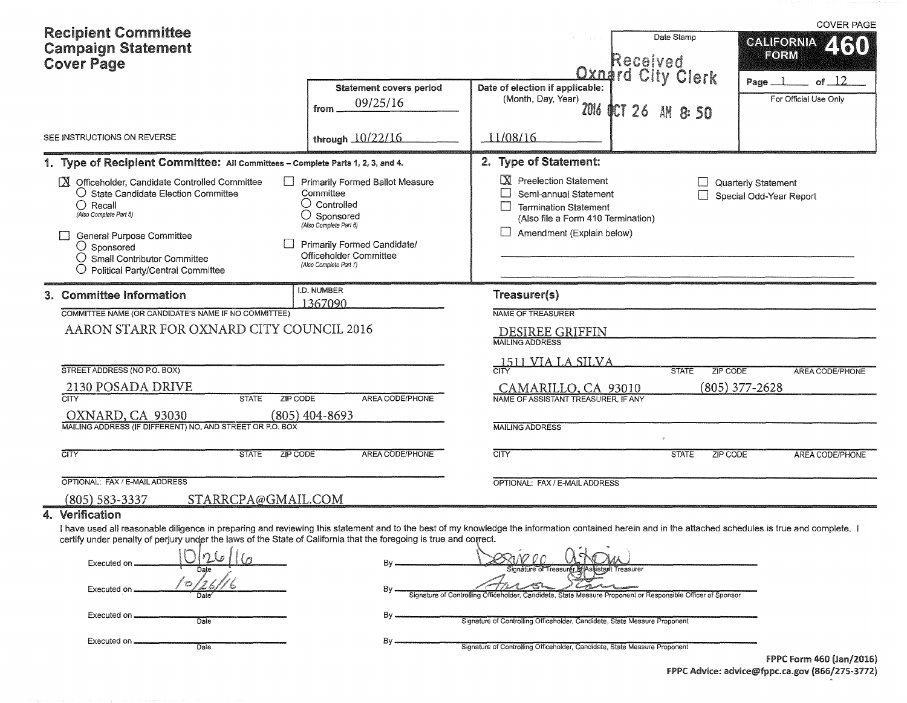| <b>Recipient Committee</b><br><b>Campaign Statement</b><br><b>Cover Page</b>                                                                                                                                                                                                                |                          |                                                                                                                                                                                                               |                                            |                                                                                                                                                     | Date Stamp<br>Received<br><b>Qxnard City Clerk</b> | <b>COVER PAGE</b><br><b>CALIFORNIA</b><br>ZRJI<br>FORM                                                                                                                                                |
|---------------------------------------------------------------------------------------------------------------------------------------------------------------------------------------------------------------------------------------------------------------------------------------------|--------------------------|---------------------------------------------------------------------------------------------------------------------------------------------------------------------------------------------------------------|--------------------------------------------|-----------------------------------------------------------------------------------------------------------------------------------------------------|----------------------------------------------------|-------------------------------------------------------------------------------------------------------------------------------------------------------------------------------------------------------|
|                                                                                                                                                                                                                                                                                             |                          | from                                                                                                                                                                                                          | <b>Statement covers period</b><br>09/25/16 | Date of election if applicable:<br>(Month, Day, Year)<br>2016                                                                                       | OCT 26 AM 8:50                                     | of $\perp$ 2<br>Page _<br>For Official Use Only                                                                                                                                                       |
| SEE INSTRUCTIONS ON REVERSE                                                                                                                                                                                                                                                                 |                          | through 10/22/16                                                                                                                                                                                              |                                            | 11/08/16                                                                                                                                            |                                                    |                                                                                                                                                                                                       |
| 1. Type of Recipient Committee: All Committees - Complete Parts 1, 2, 3, and 4.                                                                                                                                                                                                             |                          |                                                                                                                                                                                                               |                                            | 2. Type of Statement:                                                                                                                               |                                                    |                                                                                                                                                                                                       |
| X Officeholder, Candidate Controlled Committee<br>○ State Candidate Election Committee<br>$\bigcirc$ Recall<br>(Also Complete Part 5)<br><b>General Purpose Committee</b><br>$\bigcirc$ Sponsored<br>$\bigcirc$ Small Contributor Committee<br>$\bigcirc$ Political Party/Central Committee |                          | <b>Primarily Formed Ballot Measure</b><br>Committee<br>$\cup$ Controlled<br>$\bigcirc$ Sponsored<br>(Also Complete Part 6)<br>Primarily Formed Candidate/<br>Officeholder Committee<br>(Also Complete Part 7) |                                            | X Preelection Statement<br>Semi-annual Statement<br><b>Termination Statement</b><br>(Also file a Form 410 Termination)<br>Amendment (Explain below) |                                                    | Quarterly Statement<br>Special Odd-Year Report                                                                                                                                                        |
| 3. Committee Information                                                                                                                                                                                                                                                                    |                          | I.D. NUMBER<br>1367090                                                                                                                                                                                        |                                            | Treasurer(s)                                                                                                                                        |                                                    |                                                                                                                                                                                                       |
| COMMITTEE NAME (OR CANDIDATE'S NAME IF NO COMMITTEE)                                                                                                                                                                                                                                        |                          |                                                                                                                                                                                                               |                                            | NAME OF TREASURER                                                                                                                                   |                                                    |                                                                                                                                                                                                       |
| AARON STARR FOR OXNARD CITY COUNCIL 2016                                                                                                                                                                                                                                                    |                          |                                                                                                                                                                                                               |                                            | <b>DESIREE GRIFFIN</b><br><b>MAILING ADDRESS</b>                                                                                                    |                                                    |                                                                                                                                                                                                       |
| STREET ADDRESS (NO P.O. BOX)                                                                                                                                                                                                                                                                |                          |                                                                                                                                                                                                               |                                            | 1511 VIA LA SILVA                                                                                                                                   | <b>STATE</b>                                       |                                                                                                                                                                                                       |
| 2130 POSADA DRIVE                                                                                                                                                                                                                                                                           |                          |                                                                                                                                                                                                               |                                            |                                                                                                                                                     |                                                    | ZIP CODE<br><b>AREA CODE/PHONE</b><br>$(805)$ 377-2628                                                                                                                                                |
| <b>CITY</b>                                                                                                                                                                                                                                                                                 | <b>STATE</b><br>ZIP CODE |                                                                                                                                                                                                               | AREA CODE/PHONE                            | CAMARILLO, CA 93010<br>NAME OF ASSISTANT TREASURER. IF ANY                                                                                          |                                                    |                                                                                                                                                                                                       |
| OXNARD, CA 93030                                                                                                                                                                                                                                                                            |                          | $(805)$ 404-8693                                                                                                                                                                                              |                                            |                                                                                                                                                     |                                                    |                                                                                                                                                                                                       |
| MAILING ADDRESS (IF DIFFERENT) NO. AND STREET OR P.O. BOX                                                                                                                                                                                                                                   |                          |                                                                                                                                                                                                               |                                            | <b>MAILING ADDRESS</b>                                                                                                                              |                                                    |                                                                                                                                                                                                       |
| CITY                                                                                                                                                                                                                                                                                        | <b>STATE</b><br>ZIP CODE |                                                                                                                                                                                                               | AREA CODE/PHONE                            | <b>CITY</b>                                                                                                                                         | <b>STATE</b>                                       | <b>ZIP CODE</b><br><b>AREA CODE/PHONE</b>                                                                                                                                                             |
| OPTIONAL: FAX / E-MAIL ADDRESS                                                                                                                                                                                                                                                              |                          |                                                                                                                                                                                                               |                                            | OPTIONAL: FAX / E-MAIL ADDRESS                                                                                                                      |                                                    |                                                                                                                                                                                                       |
| (805) 583-3337                                                                                                                                                                                                                                                                              | STARRCPA@GMAIL.COM       |                                                                                                                                                                                                               |                                            |                                                                                                                                                     |                                                    |                                                                                                                                                                                                       |
| 4. Verification                                                                                                                                                                                                                                                                             |                          |                                                                                                                                                                                                               |                                            |                                                                                                                                                     |                                                    |                                                                                                                                                                                                       |
| certify under penalty of perjury under the laws of the State of California that the foregoing is true and correct.<br>Executed on                                                                                                                                                           |                          |                                                                                                                                                                                                               |                                            | ካለ2 በ በ<br>Signature of Treasure                                                                                                                    | lreasurer                                          | I have used all reasonable diligence in preparing and reviewing this statement and to the best of my knowledge the information contained herein and in the attached schedules is true and complete. I |
| Executed on                                                                                                                                                                                                                                                                                 |                          |                                                                                                                                                                                                               |                                            | Signature of Controlling Officeholder, Candidate, State Measure Proponent or Responsible Officer of Sponsor                                         |                                                    |                                                                                                                                                                                                       |
| Executed on                                                                                                                                                                                                                                                                                 | Date                     |                                                                                                                                                                                                               |                                            | Signature of Controlling Officeholder, Candidate, State Measure Proponent                                                                           |                                                    |                                                                                                                                                                                                       |
| Executed on .                                                                                                                                                                                                                                                                               | Date                     |                                                                                                                                                                                                               |                                            | Signature of Controlling Officeholder, Candidate, State Measure Proponent                                                                           |                                                    |                                                                                                                                                                                                       |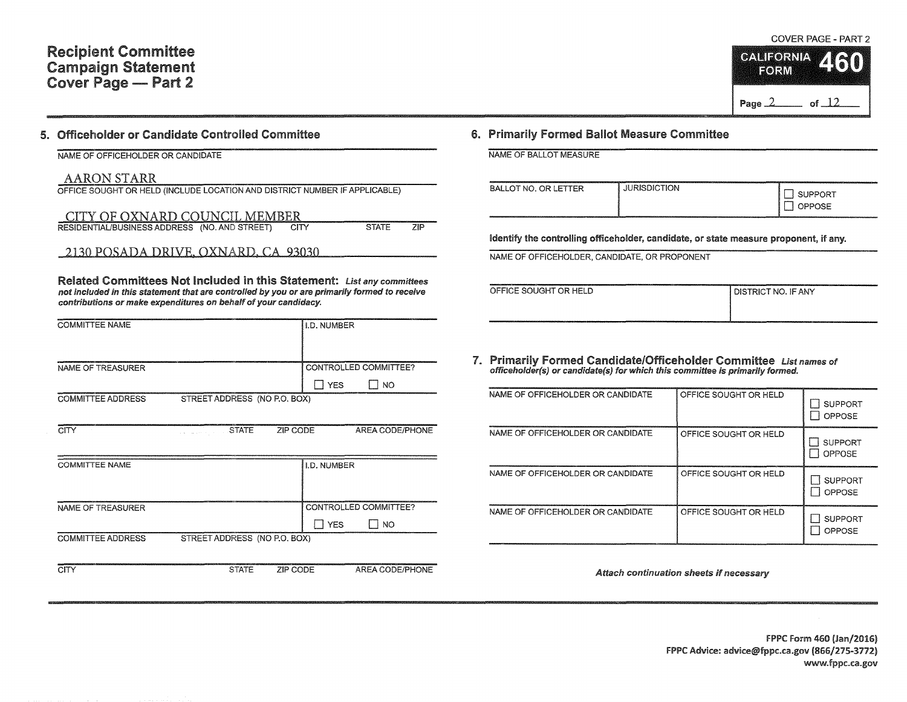#### 5. Officeholder or Candidate Controlled Committee

NAME OF OFFICEHOLDER OR CANDIDATE

### AARON STARR

| OFFICE SOUGHT OR HELD (INCLUDE LOCATION AND DISTRICT NUMBER IF APPLICABLE) |      |              |            |
|----------------------------------------------------------------------------|------|--------------|------------|
| CITY OF OXNARD COUNCIL MEMBER                                              |      |              |            |
| RESIDENTIAL/BUSINESS ADDRESS (NO. AND STREET)                              | CITY | <b>STATE</b> | <b>71P</b> |

2130 POSADA DRIVE. OXNARD.CA93030

Related Committees Not Included in this Statement: List any committees not included in this statement that are controlled by you or are primarily formed to receive contributions or make expenditures on behalf of your candidacy.

| <b>COMMITTEE NAME</b>    |                              |          | I.D. NUMBER        |                       |
|--------------------------|------------------------------|----------|--------------------|-----------------------|
|                          |                              |          |                    |                       |
| NAME OF TREASURER        |                              |          |                    | CONTROLLED COMMITTEE? |
|                          |                              |          | I YES              | 1 NO                  |
| <b>COMMITTEE ADDRESS</b> | STREET ADDRESS (NO P.O. BOX) |          |                    |                       |
|                          |                              |          |                    |                       |
| CITY                     | <b>STATE</b>                 | ZIP CODE |                    | AREA CODE/PHONE       |
|                          |                              |          |                    |                       |
| <b>COMMITTEE NAME</b>    |                              |          | <b>I.D. NUMBER</b> |                       |
|                          |                              |          |                    |                       |
|                          |                              |          |                    |                       |
| NAME OF TREASURER        |                              |          |                    | CONTROLLED COMMITTEE? |
|                          |                              |          | $\square$ YES      | I NO                  |
| <b>COMMITTEE ADDRESS</b> | STREET ADDRESS (NO P.O. BOX) |          |                    |                       |
|                          |                              |          |                    |                       |
| <b>CITY</b>              | <b>STATE</b>                 | ZIP CODE |                    | AREA CODE/PHONE       |

## 6. Primarily Formed Ballot Measure Committee

NAME OF BALLOT MEASURE

| NΩ<br>פר<br>-- | ISDICTION<br>,,,,,,,,,,,,,,,,<br>_____ | ORT<br>OSE |
|----------------|----------------------------------------|------------|
|----------------|----------------------------------------|------------|

Identify the controlling officeholder, candidate, or state measure proponent, if any.

NAME OF OFFICEHOLDER, CANDIDATE, OR PROPONENT

| OFFICE SOUGHT OR HELD | I DISTRICT NO. IF ANY |
|-----------------------|-----------------------|
| .<br>_____            |                       |

7. Primarily Formed Candidate/Officeholder Committee List names of officeholder(s) or candidate(s) for which this committee is primarily formed.

| NAME OF OFFICEHOLDER OR CANDIDATE | OFFICE SOUGHT OR HELD | <b>SUPPORT</b><br>OPPOSE |
|-----------------------------------|-----------------------|--------------------------|
| NAME OF OFFICEHOLDER OR CANDIDATE | OFFICE SOUGHT OR HELD | <b>SUPPORT</b><br>OPPOSE |
| NAME OF OFFICEHOLDER OR CANDIDATE | OFFICE SOUGHT OR HELD | <b>SUPPORT</b><br>OPPOSE |
| NAME OF OFFICEHOLDER OR CANDIDATE | OFFICE SOUGHT OR HELD | <b>SUPPORT</b><br>OPPOSE |

Attach continuation sheets if necessary



**CALIFORNIA** FORM

Page  $2$  of  $12$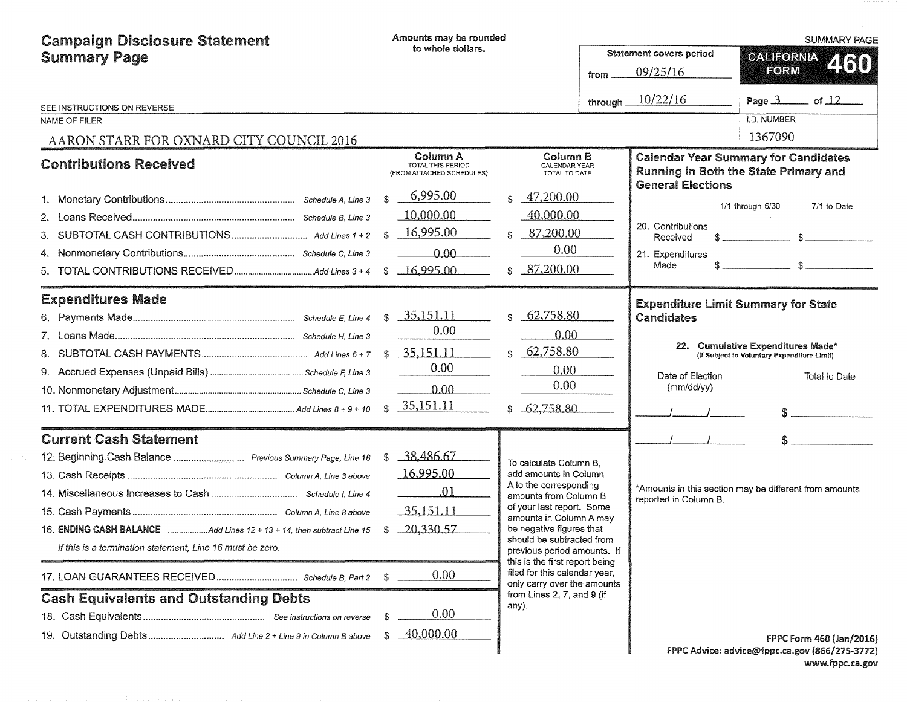| <b>Campaign Disclosure Statement</b>                                                                                                                                                                                                                                               | Amounts may be rounded                                                                |                                                                                                                                                                                                                                                                                                                                                                                    |                                |                                                                                                   | <b>SUMMARY PAGE</b>                                                                                  |
|------------------------------------------------------------------------------------------------------------------------------------------------------------------------------------------------------------------------------------------------------------------------------------|---------------------------------------------------------------------------------------|------------------------------------------------------------------------------------------------------------------------------------------------------------------------------------------------------------------------------------------------------------------------------------------------------------------------------------------------------------------------------------|--------------------------------|---------------------------------------------------------------------------------------------------|------------------------------------------------------------------------------------------------------|
| <b>Summary Page</b>                                                                                                                                                                                                                                                                | to whole dollars.                                                                     |                                                                                                                                                                                                                                                                                                                                                                                    | <b>Statement covers period</b> | <b>GALIEORNIA</b>                                                                                 |                                                                                                      |
|                                                                                                                                                                                                                                                                                    |                                                                                       |                                                                                                                                                                                                                                                                                                                                                                                    | from.                          | 09/25/16                                                                                          | 2160<br><b>FORM</b>                                                                                  |
| SEE INSTRUCTIONS ON REVERSE                                                                                                                                                                                                                                                        |                                                                                       |                                                                                                                                                                                                                                                                                                                                                                                    | through _                      | 10/22/16                                                                                          | Page $3$ of $12$                                                                                     |
| <b>NAME OF FILER</b>                                                                                                                                                                                                                                                               |                                                                                       |                                                                                                                                                                                                                                                                                                                                                                                    |                                |                                                                                                   | <b>I.D. NUMBER</b>                                                                                   |
| AARON STARR FOR OXNARD CITY COUNCIL 2016                                                                                                                                                                                                                                           |                                                                                       |                                                                                                                                                                                                                                                                                                                                                                                    |                                |                                                                                                   | 1367090                                                                                              |
| <b>Contributions Received</b>                                                                                                                                                                                                                                                      | Column A<br><b>TOTAL THIS PERIOD</b><br>(FROM ATTACHED SCHEDULES)                     | Column B<br>CALENDAR YEAR<br>TOTAL TO DATE                                                                                                                                                                                                                                                                                                                                         |                                | <b>General Elections</b>                                                                          | <b>Calendar Year Summary for Candidates</b><br><b>Running in Both the State Primary and</b>          |
| 5.                                                                                                                                                                                                                                                                                 | 6,995.00<br>\$<br>10,000.00<br>16,995.00<br>S.<br>0.00<br>$\_16,995.00$<br>\$         | 47,200.00<br>ፍ<br>40,000.00<br>87,200.00<br>\$.<br>0.00<br>87,200.00<br>$\mathcal{L}$                                                                                                                                                                                                                                                                                              |                                | 20. Contributions<br>Received<br>21. Expenditures<br>\$.<br>Made                                  | 1/1 through 6/30<br>7/1 to Date<br>$\mathbb{S}$ and $\mathbb{S}$<br>$\mathbb{R}$                     |
| <b>Expenditures Made</b>                                                                                                                                                                                                                                                           | 35,151.11<br>S.<br>0.00<br>35,151.11<br>\$<br>0.00<br>0.00<br>35,151.11<br>\$.        | 62,758.80<br>0.00<br>62,758.80<br>0.00<br>0.00<br>62,758.80<br>\$                                                                                                                                                                                                                                                                                                                  |                                | <b>Expenditure Limit Summary for State</b><br>Candidates<br>22.<br>Date of Election<br>(mm/dd/yy) | <b>Cumulative Expenditures Made*</b><br>(If Subject to Voluntary Expenditure Limit)<br>Total to Date |
| <b>Current Cash Statement</b><br>12. Beginning Cash Balance  Previous Summary Page, Line 16<br>16. ENDING CASH BALANCE Add Lines 12 + 13 + 14, then subtract Line 15<br>If this is a termination statement, Line 16 must be zero.<br><b>Cash Equivalents and Outstanding Debts</b> | 38,486.67<br>\$<br>16,995.00<br>.01<br>$-35,151,11$<br>$-20,330.57$<br>S<br>0.00<br>S | To calculate Column B.<br>add amounts in Column<br>A to the corresponding<br>amounts from Column B<br>of your last report. Some<br>amounts in Column A may<br>be negative figures that<br>should be subtracted from<br>previous period amounts. If<br>this is the first report being<br>filed for this calendar year,<br>only carry over the amounts<br>from Lines 2, 7, and 9 (if |                                | reported in Column B.                                                                             | *Amounts in this section may be different from amounts                                               |
|                                                                                                                                                                                                                                                                                    | 0.00<br>-S<br>40,000.00<br>S.                                                         | any).                                                                                                                                                                                                                                                                                                                                                                              |                                |                                                                                                   | FPPC Form 460 (Jan/2016)<br>FPPC Advice: advice@fppc.ca.gov (866/275-3772)                           |

FPPC Advice: advice@fppc.ca.gov (866/275-3772) www.fppc.ca.gov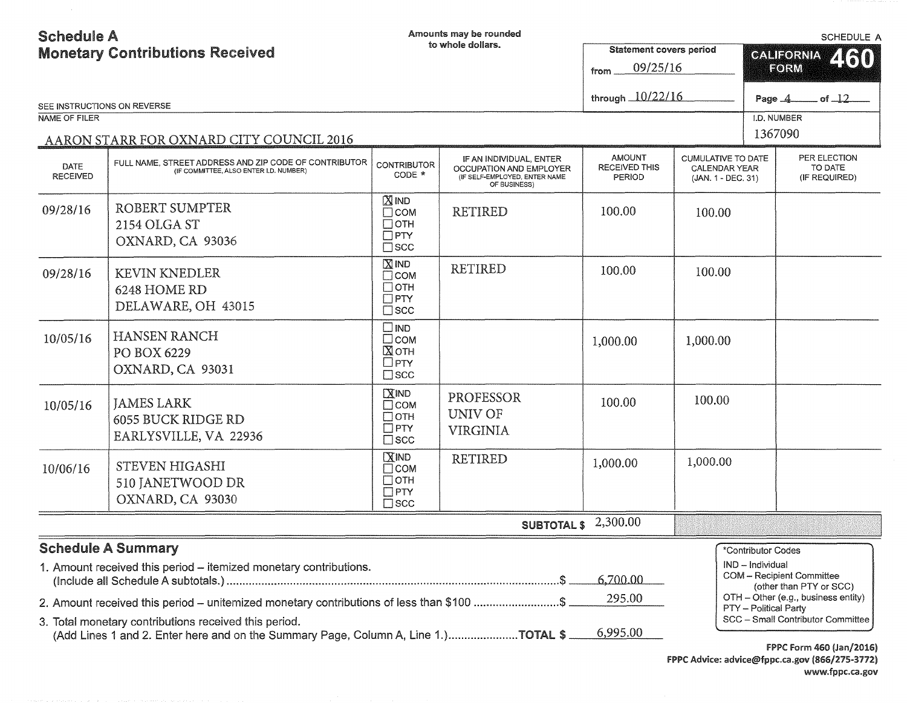| <b>Schedule A</b><br><b>Monetary Contributions Received</b> |                                                                                                                                                                                            |                                                                       | Amounts may be rounded<br>to whole dollars.                                                         | <b>Statement covers period</b><br>09/25/16<br>from.    |                                                                         | <b>SCHEDULE A</b><br>460<br><b>CALIFORNIA</b><br>FORM                                                                                                                 |  |  |
|-------------------------------------------------------------|--------------------------------------------------------------------------------------------------------------------------------------------------------------------------------------------|-----------------------------------------------------------------------|-----------------------------------------------------------------------------------------------------|--------------------------------------------------------|-------------------------------------------------------------------------|-----------------------------------------------------------------------------------------------------------------------------------------------------------------------|--|--|
|                                                             | SEE INSTRUCTIONS ON REVERSE                                                                                                                                                                |                                                                       |                                                                                                     | through 10/22/16                                       |                                                                         | of $\frac{12}{ }$<br>Page $-4$                                                                                                                                        |  |  |
| NAME OF FILER                                               |                                                                                                                                                                                            |                                                                       |                                                                                                     |                                                        |                                                                         | I.D. NUMBER                                                                                                                                                           |  |  |
|                                                             | AARON STARR FOR OXNARD CITY COUNCIL 2016                                                                                                                                                   |                                                                       |                                                                                                     |                                                        |                                                                         | 1367090                                                                                                                                                               |  |  |
| DATE<br><b>RECEIVED</b>                                     | FULL NAME, STREET ADDRESS AND ZIP CODE OF CONTRIBUTOR<br>(IF COMMITTEE, ALSO ENTER I.D. NUMBER)                                                                                            | <b>CONTRIBUTOR</b><br>CODE *                                          | IF AN INDIVIDUAL, ENTER<br>OCCUPATION AND EMPLOYER<br>(IF SELF-EMPLOYED, ENTER NAME<br>OF BUSINESS) | <b>AMOUNT</b><br><b>RECEIVED THIS</b><br><b>PERIOD</b> | <b>CUMULATIVE TO DATE</b><br><b>CALENDAR YEAR</b><br>(JAN. 1 - DEC. 31) | PER ELECTION<br>TO DATE<br>(IF REQUIRED)                                                                                                                              |  |  |
| 09/28/16                                                    | ROBERT SUMPTER<br>2154 OLGA ST<br>OXNARD, CA 93036                                                                                                                                         | $X$ IND<br>$\Box$ COM<br>$\Box$ OTH<br>$\Box$ PTY<br>$\square$ scc    | <b>RETIRED</b>                                                                                      | 100.00                                                 | 100.00                                                                  |                                                                                                                                                                       |  |  |
| 09/28/16                                                    | <b>KEVIN KNEDLER</b><br>6248 HOME RD<br>DELAWARE, OH 43015                                                                                                                                 | $X$ IND<br>$\square$ COM<br>$\Box$ OTH<br>$\Box$ PTY<br>$\square$ scc | <b>RETIRED</b>                                                                                      | 100.00                                                 | 100.00                                                                  |                                                                                                                                                                       |  |  |
| 10/05/16                                                    | HANSEN RANCH<br>PO BOX 6229<br>OXNARD, CA 93031                                                                                                                                            | $\square$ IND<br>$\Box$ COM<br>⊠отн<br>$\Box$ PTY<br>$\square$ scc    |                                                                                                     | 1,000.00                                               | 1,000.00                                                                |                                                                                                                                                                       |  |  |
| 10/05/16                                                    | <b>JAMES LARK</b><br><b>6055 BUCK RIDGE RD</b><br>EARLYSVILLE, VA 22936                                                                                                                    | $X$ IND<br>$\Box$ COM<br>$\Box$ OTH<br>$\Box$ PTY<br>$\square$ scc    | PROFESSOR<br><b>UNIV OF</b><br><b>VIRGINIA</b>                                                      | 100.00                                                 | 100.00                                                                  |                                                                                                                                                                       |  |  |
| 10/06/16                                                    | STEVEN HIGASHI<br>510 JANETWOOD DR<br>OXNARD, CA 93030                                                                                                                                     | MND<br>$\Box$ COM<br>$\Box$ OTH<br>$\Box$ PTY<br>$\square$ scc        | <b>RETIRED</b>                                                                                      | 1,000.00                                               | 1,000.00                                                                |                                                                                                                                                                       |  |  |
|                                                             |                                                                                                                                                                                            |                                                                       | <b>SUBTOTAL \$</b>                                                                                  | 2,300.00                                               |                                                                         |                                                                                                                                                                       |  |  |
|                                                             | <b>Schedule A Summary</b><br>1. Amount received this period – itemized monetary contributions.<br>2. Amount received this period – unitemized monetary contributions of less than \$100 \$ |                                                                       |                                                                                                     | 6,700.00<br>295.00                                     |                                                                         | *Contributor Codes<br>IND - Individual<br><b>COM</b> - Recipient Committee<br>(other than PTY or SCC)<br>OTH - Other (e.g., business entity)<br>PTY - Political Party |  |  |
|                                                             | 3. Total monetary contributions received this period.<br>(Add Lines 1 and 2. Enter here and on the Summary Page, Column A, Line 1.)TOTAL \$                                                |                                                                       |                                                                                                     | 6,995.00                                               |                                                                         | SCC - Small Contributor Committee<br>$EDDC$ $E_{\text{CVM}}$ $ACO$ $(L_{\text{CN}}/201C)$                                                                             |  |  |

f PPC Form 460 (Jan/2016) FPPC Advice: advice@fppc.ca.gov (866/275-3772) www.fppc.ca.gov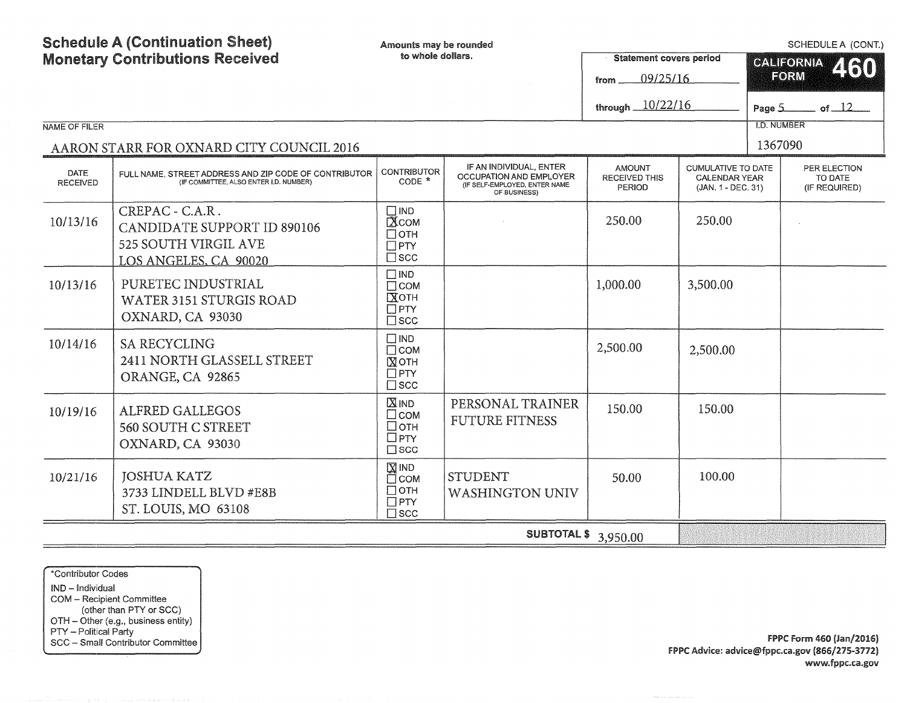| <b>Schedule A (Continuation Sheet)</b><br><b>Monetary Contributions Received</b> |                                                                                                        | Amounts may be rounded<br>to whole dollars.                                             |                                                                                                     | <b>Statement covers period</b>                  | SCHEDULE A (CONT.)<br><b>CALIFORNIA</b><br>460                          |                    |                                          |  |
|----------------------------------------------------------------------------------|--------------------------------------------------------------------------------------------------------|-----------------------------------------------------------------------------------------|-----------------------------------------------------------------------------------------------------|-------------------------------------------------|-------------------------------------------------------------------------|--------------------|------------------------------------------|--|
|                                                                                  |                                                                                                        |                                                                                         |                                                                                                     | 09/25/16<br>from                                |                                                                         |                    | FORM                                     |  |
|                                                                                  |                                                                                                        |                                                                                         |                                                                                                     | through 10/22/16                                |                                                                         |                    | Page $5$ of $12$                         |  |
| NAME OF FILER                                                                    |                                                                                                        |                                                                                         |                                                                                                     |                                                 |                                                                         | <b>I.D. NUMBER</b> |                                          |  |
|                                                                                  | AARON STARR FOR OXNARD CITY COUNCIL 2016                                                               |                                                                                         |                                                                                                     |                                                 |                                                                         | 1367090            |                                          |  |
| <b>DATE</b><br><b>RECEIVED</b>                                                   | FULL NAME, STREET ADDRESS AND ZIP CODE OF CONTRIBUTOR<br>(IF COMMITTEE, ALSO ENTER I.D. NUMBER)        | <b>CONTRIBUTOR</b><br>$CODE *$                                                          | IF AN INDIVIDUAL, ENTER<br>OCCUPATION AND EMPLOYER<br>(IF SELF-EMPLOYED, ENTER NAME<br>OF BUSINESS) | <b>AMOUNT</b><br><b>RECEIVED THIS</b><br>PERIOD | <b>CUMULATIVE TO DATE</b><br><b>CALENDAR YEAR</b><br>(JAN. 1 - DEC. 31) |                    | PER ELECTION<br>TO DATE<br>(IF REQUIRED) |  |
| 10/13/16                                                                         | CREPAC - C.A.R.<br><b>CANDIDATE SUPPORT ID 890106</b><br>525 SOUTH VIRGIL AVE<br>LOS ANGELES, CA 90020 | $\square$ IND<br>$\overline{\text{X}}$ COM<br>$\Box$ OTH<br>$\Box$ PTY<br>$\square$ scc |                                                                                                     | 250.00                                          | 250.00                                                                  |                    |                                          |  |
| 10/13/16                                                                         | PURETEC INDUSTRIAL<br>WATER 3151 STURGIS ROAD<br>OXNARD, CA 93030                                      | $\square$ IND<br>$\Box$ COM<br>Хотн<br>$\Box$ PTY<br>$\square$ scc                      |                                                                                                     | 1,000.00                                        | 3,500.00                                                                |                    |                                          |  |
| 10/14/16                                                                         | <b>SA RECYCLING</b><br>2411 NORTH GLASSELL STREET<br>ORANGE, CA 92865                                  | $\square$ IND<br>$\Box$ COM<br>⊠отн<br>$\Box$ PTY<br>$\square$ scc                      |                                                                                                     | 2,500.00                                        | 2,500.00                                                                |                    |                                          |  |
| 10/19/16                                                                         | <b>ALFRED GALLEGOS</b><br>560 SOUTH C STREET<br>OXNARD, CA 93030                                       | $X$ <sub>IND</sub><br>$\square$ COM<br>□отн<br>$\Box$ PTY<br>$\square$ scc              | PERSONAL TRAINER<br><b>FUTURE FITNESS</b>                                                           | 150.00                                          | 150.00                                                                  |                    |                                          |  |
| 10/21/16                                                                         | <b>JOSHUA KATZ</b><br>3733 LINDELL BLVD #E8B<br>ST. LOUIS, MO 63108                                    | $\boxtimes$ IND<br>□ сом<br>$\Box$ OTH<br>$\Box$ PTY<br>$\square$ scc                   | <b>STUDENT</b><br><b>WASHINGTON UNIV</b>                                                            | 50.00                                           | 100.00                                                                  |                    |                                          |  |
|                                                                                  |                                                                                                        |                                                                                         | <b>SUBTOTAL \$</b> 3,950.00                                                                         |                                                 |                                                                         |                    |                                          |  |

\*Contributor Codes IND - Individual COM - Recipient Committee (other than PTY or SCC) OTH - Other (e.g., business entity)

PTY – Political Party<br>SCC – Small Contributor Committee **FPPC Form 460 (Jan/2016)** FPPC Advice: advice@fppc.ca.gov (866/275-3772) www.fppc.ca.gov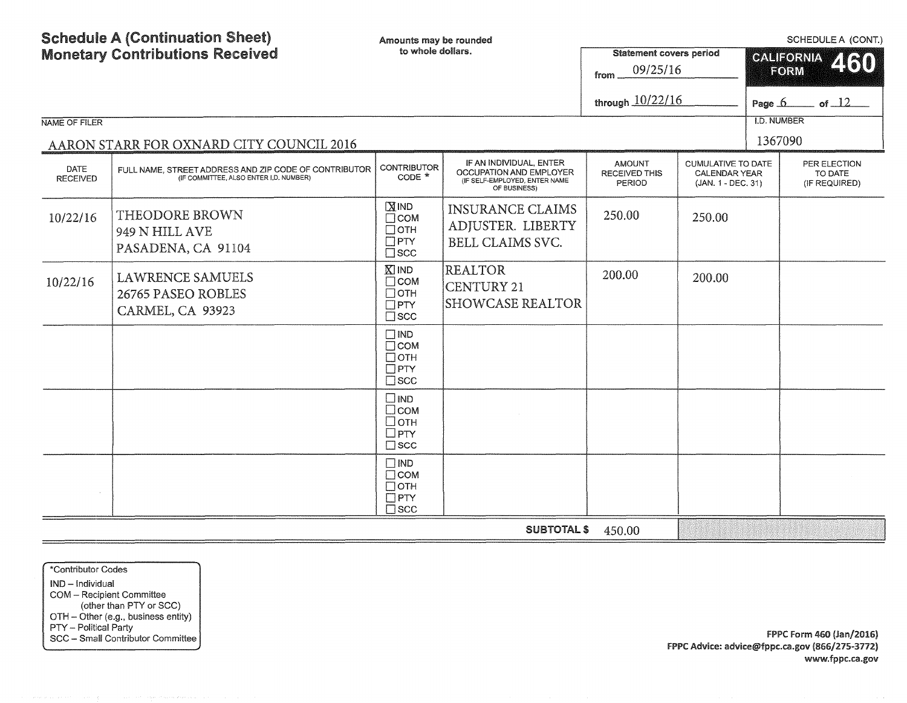Schedule A (Continuation Sheet) Monetary Contributions Received NAME OF FILER AARON STARR FOR OXNARD CITY COUNCIL 2016 Amounts may be rounded to whole dollars. DATE RECEIVED FULL NAME, STREET ADDRESS AND ZIP CODE OF CONTRIBUTOR CONTRIBUTOR  $\bigg|$  CONTRIBUTOR  $\bigg|$ (IF COMMITTEE, ALSO ENTER I.D. NUMBER) IF AN INDIVIDUAL, ENTER OCCUPATION AND EMPLOYER (IF SELF-EMPLOYED, ENTER NAME OF BUSINESS)  $10/22/16$  THEODORE BROWN 949 N HILL AVE PASADENA, CA 91104  $10/22/16$  LAWRENCE SAMUELS 26765 PASEO ROBLES CARMEL, CA 93923  $\overline{\mathbf{N}}$  IND  $\Box$ COM  $\Box$ OTH  $\Box$ PTY  $\square$ scc **KIND**  $\Box$ COM  $\Box$ OTH  $\overline{\Box}$ PTY  $\square$  scc  $\square$  IND  $\Box$ COM  $\Box$  OTH  $\Box$ PTY  $\square$ scc **DIND** DcoM Dorn  $\Box$ PTY  $\square$  scc  $\square$  IND  $\Box$ COM  $\Box$ OTH  $\Pi$ PTY □<sub>scc</sub> INSURANCE CLAIMS ADJUSTER. LIBERTY BELL CLAIMS SVC. REALTOR CENTURY21 SHOWCASE REALTOR SCHEDULE A (CONT.) Statement covers period ©~l::ilF©l~J#.11~ **4•11**  from 09/25/16 through 10/22/16 AMOUNT RECEIVED THIS PERIOD 250.00 200.00 **F©RM II**  Page  $6$  of  $12$ l.D. NUMBER 1367090 CUMULATIVE TO DATE CALENDAR YEAR (JAN. 1 - DEC. 31) 250.00 200.00 PER ELECTION TO DATE (IF REQUIRED) SUBTOTAL\$ 450.00

\*Contributor Codes IND - Individual COM - Recipient Committee (other than PTY or SCC) OTH - Other (e.g., business entity) PTY - Political Party

SCC – Small Contributor Committee | www.assettiefunction.com/section/section/section/section/section/section/section/section/section/section/section/section/section/section/section/section/section/section/section/section/s FPPC Advice: advice@fppc.ca.gov (866/275-3772) www.fppc.ca.gov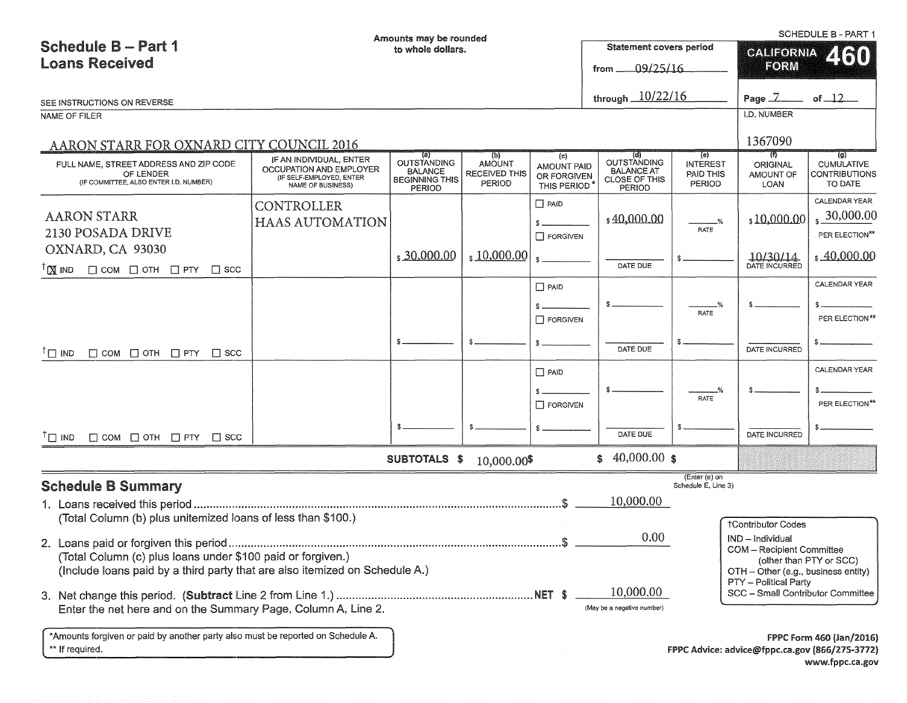|                                                                                                                                            |                                                                          | Amounts may be rounded                                                         |                                                 |                                                  |                                                     |                                        |                                               | <b>SCHEDULE B - PART 1</b>                     |
|--------------------------------------------------------------------------------------------------------------------------------------------|--------------------------------------------------------------------------|--------------------------------------------------------------------------------|-------------------------------------------------|--------------------------------------------------|-----------------------------------------------------|----------------------------------------|-----------------------------------------------|------------------------------------------------|
| <b>Schedule B - Part 1</b>                                                                                                                 |                                                                          | to whole dollars.                                                              |                                                 |                                                  | <b>Statement covers period</b>                      |                                        | CALIFORNIA                                    | 2160                                           |
| <b>Loans Received</b>                                                                                                                      |                                                                          |                                                                                |                                                 |                                                  | 09/25/16<br>from _                                  |                                        | FORM                                          |                                                |
| SEE INSTRUCTIONS ON REVERSE                                                                                                                |                                                                          |                                                                                |                                                 |                                                  | through $10/22/16$                                  |                                        | Page $7$ of $12$                              |                                                |
| NAME OF FILER                                                                                                                              |                                                                          |                                                                                |                                                 |                                                  |                                                     |                                        | I.D. NUMBER                                   |                                                |
| AARON STARR FOR OXNARD CITY COUNCIL 2016                                                                                                   |                                                                          |                                                                                |                                                 |                                                  |                                                     |                                        | 1367090                                       |                                                |
|                                                                                                                                            | IF AN INDIVIDUAL, ENTER                                                  | (a)                                                                            | (b)                                             | (c)                                              | (d)<br><b>OUTSTANDING</b>                           | (e)                                    | राण                                           | $\overline{g}$                                 |
| FULL NAME, STREET ADDRESS AND ZIP CODE<br>OF LENDER<br>(IF COMMITTEE, ALSO ENTER I.D. NUMBER)                                              | OCCUPATION AND EMPLOYER<br>(IF SELF-EMPLOYED, ENTER<br>NAME OF BUSINESS) | <b>OUTSTANDING</b><br><b>BALANCE</b><br><b>BEGINNING THIS</b><br><b>PERIOD</b> | <b>AMOUNT</b><br>RECEIVED THIS<br><b>PERIOD</b> | <b>AMOUNT PAID</b><br>OR FORGIVEN<br>THIS PERIOD | <b>BALANCE AT</b><br><b>CLOSE OF THIS</b><br>PERIOD | <b>INTEREST</b><br>PAID THIS<br>PERIOD | ORIGINAL<br>AMOUNT OF<br>LOAN                 | <b>CUMULATIVE</b><br>CONTRIBUTIONS<br>TO DATE  |
|                                                                                                                                            | CONTROLLER                                                               |                                                                                |                                                 | $\Box$ PAID                                      |                                                     |                                        |                                               | CALENDAR YEAR                                  |
| <b>AARON STARR</b>                                                                                                                         | <b>HAAS AUTOMATION</b>                                                   |                                                                                |                                                 |                                                  | \$40,000.00                                         |                                        | \$10,000.00                                   | 30,000.00                                      |
| 2130 POSADA DRIVE                                                                                                                          |                                                                          |                                                                                |                                                 | <b>T</b> FORGIVEN                                |                                                     | RATE                                   |                                               | PER ELECTION**                                 |
| OXNARD, CA 93030<br>${}^{7}$ $\times$ IND<br>$\Box$ COM $\Box$ OTH $\Box$ PTY $\Box$ SCC                                                   |                                                                          | \$30,000.00                                                                    | $\frac{10,000.00}{x}$                           |                                                  | DATE DUE                                            |                                        | 10/30/14                                      | \$40,000.00                                    |
|                                                                                                                                            |                                                                          |                                                                                |                                                 | $\Box$ PAID                                      |                                                     |                                        |                                               | CALENDAR YEAR                                  |
|                                                                                                                                            |                                                                          |                                                                                |                                                 |                                                  |                                                     |                                        |                                               |                                                |
|                                                                                                                                            |                                                                          |                                                                                |                                                 | $\Box$ FORGIVEN                                  |                                                     | RATE                                   |                                               | PER ELECTION**                                 |
|                                                                                                                                            |                                                                          |                                                                                |                                                 |                                                  |                                                     |                                        |                                               |                                                |
| $\Box$ COM $\Box$ OTH $\Box$ PTY $\Box$ SCC<br>$\top$ IND                                                                                  |                                                                          |                                                                                |                                                 |                                                  | DATE DUE                                            |                                        | DATE INCURRED                                 |                                                |
|                                                                                                                                            |                                                                          |                                                                                |                                                 | $\Box$ PAID                                      |                                                     |                                        |                                               | CALENDAR YEAR                                  |
|                                                                                                                                            |                                                                          |                                                                                |                                                 |                                                  |                                                     |                                        |                                               |                                                |
|                                                                                                                                            |                                                                          |                                                                                |                                                 | <b>T</b> FORGIVEN                                |                                                     | RATE                                   |                                               | PER ELECTION**                                 |
| <sup>I</sup> IND<br>$\Box$ COM $\Box$ OTH $\Box$ PTY $\Box$ SCC                                                                            |                                                                          |                                                                                |                                                 |                                                  | DATE DUE                                            |                                        | DATE INCURRED                                 |                                                |
|                                                                                                                                            |                                                                          | SUBTOTALS \$                                                                   | 10,000.00\$                                     |                                                  | 40,000.00 \$<br>\$                                  |                                        |                                               |                                                |
| <b>Schedule B Summary</b>                                                                                                                  |                                                                          |                                                                                |                                                 |                                                  |                                                     | (Enter (e) on<br>Schedule E, Line 3)   |                                               |                                                |
|                                                                                                                                            |                                                                          |                                                                                |                                                 |                                                  | 10,000.00                                           |                                        |                                               |                                                |
| (Total Column (b) plus unitemized loans of less than \$100.)                                                                               |                                                                          |                                                                                |                                                 |                                                  |                                                     |                                        |                                               |                                                |
|                                                                                                                                            |                                                                          |                                                                                |                                                 |                                                  | 0.00                                                |                                        | <b>†Contributor Codes</b><br>IND - Individual |                                                |
|                                                                                                                                            |                                                                          |                                                                                |                                                 |                                                  |                                                     |                                        | COM - Recipient Committee                     |                                                |
| (Total Column (c) plus loans under \$100 paid or forgiven.)<br>(Include loans paid by a third party that are also itemized on Schedule A.) |                                                                          |                                                                                |                                                 |                                                  |                                                     |                                        | OTH - Other (e.g., business entity)           | (other than PTY or SCC)                        |
|                                                                                                                                            |                                                                          |                                                                                |                                                 |                                                  |                                                     |                                        | PTY - Political Party                         |                                                |
|                                                                                                                                            |                                                                          |                                                                                |                                                 |                                                  | 10,000.00                                           |                                        | SCC - Small Contributor Committee             |                                                |
| Enter the net here and on the Summary Page, Column A, Line 2.                                                                              |                                                                          |                                                                                |                                                 |                                                  | (May be a negative number)                          |                                        |                                               |                                                |
| *Amounts forgiven or paid by another party also must be reported on Schedule A.                                                            |                                                                          |                                                                                |                                                 |                                                  |                                                     |                                        |                                               | <b>FPPC Form 460 (Jan/2016)</b>                |
| ** If required.                                                                                                                            |                                                                          |                                                                                |                                                 |                                                  |                                                     |                                        |                                               | FPPC Advice: advice@fppc.ca.gov (866/275-3772) |
|                                                                                                                                            |                                                                          |                                                                                |                                                 |                                                  |                                                     |                                        |                                               | www.fppc.ca.gov                                |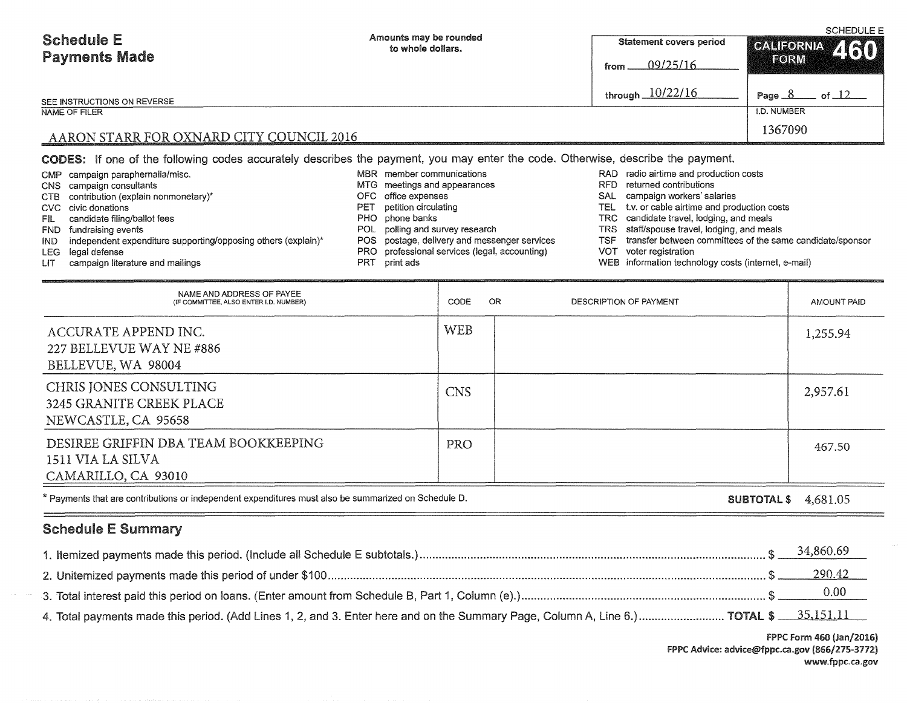|                                                     |                                                                                                                                        |                                                   | <b>SCHEDULE E</b>          |  |  |  |
|-----------------------------------------------------|----------------------------------------------------------------------------------------------------------------------------------------|---------------------------------------------------|----------------------------|--|--|--|
| <b>Schedule E</b>                                   | Amounts may be rounded<br>to whole dollars.                                                                                            | Statement covers period                           | CALIFORNIA 460             |  |  |  |
| <b>Payments Made</b>                                |                                                                                                                                        | 09/25/16<br>from                                  | FORM                       |  |  |  |
| SEE INSTRUCTIONS ON REVERSE                         |                                                                                                                                        | through $10/22/16$                                | of $\Box$ $\Box$<br>Page 8 |  |  |  |
| NAME OF FILER                                       |                                                                                                                                        |                                                   | I.D. NUMBER                |  |  |  |
| 1367090<br>AARON STARR FOR OXNARD CITY COUNCIL 2016 |                                                                                                                                        |                                                   |                            |  |  |  |
|                                                     | <b>CODES:</b> If one of the following codes accurately describes the payment, you may enter the code. Otherwise, describe the payment. |                                                   |                            |  |  |  |
| CMP campaign paraphernalia/misc.                    | MBR member communications                                                                                                              | RAD radio airtime and production costs            |                            |  |  |  |
| campaign consultants<br>CNS .                       | MTG meetings and appearances                                                                                                           | returned contributions<br>RFD.                    |                            |  |  |  |
| contribution (explain nonmonetary)*<br>CTB.         | OFC office expenses                                                                                                                    | campaign workers' salaries<br>SAL.                |                            |  |  |  |
| civic donations<br>CVC.                             | petition circulating<br>PET                                                                                                            | t.v. or cable airtime and production costs<br>TEL |                            |  |  |  |
| candidate filing/ballot fees<br>FIL -               | PHO phone banks                                                                                                                        | TRC candidate travel, lodging, and meals          |                            |  |  |  |
| fundraising events<br>FND.                          | POL polling and survey research                                                                                                        | TRS staff/spouse travel, lodging, and meals       |                            |  |  |  |

LEG legal defense

IND independent expenditure supporting/opposing others (explain)\*

- LIT campaign literature and mailings
- NAME AND ADDRESS OF PAYEE (IF COMMITTEE, ALSO ENTER l.D. NUMBER) ACCURATE APPEND INC. 227 BELLEVUE WAY NE #886 BELLEVUE, WA 98004 CHRIS JONES CONSULTING 3245 GRANITE CREEK PLACE NEWCASTLE, CA 95658 DESIREE GRIFFIN DBA TEAM BOOKKEEPING 1511 VIA SILVA CAMARILLO, CA 93010 CODE OR WEB CNS PRO DESCRIPTION OF PAYMENT AMOUNT PAID 1,255.94 2,957.61 467.50

POS postage, delivery and messenger services PRO professional services (legal, accounting)

PRT print ads

\* Payments that are contributions or independent expenditures must also be summarized on Schedule D.

### SUBTOTAL\$ 4,681.05

TSF transfer between committees of the same candidate/sponsor

WEB information technology costs (internet, e-mail)

VOT voter registration

# Schedule E Summary

|                                                                                                                                       | 290.42 |
|---------------------------------------------------------------------------------------------------------------------------------------|--------|
|                                                                                                                                       |        |
| 4. Total payments made this period. (Add Lines 1, 2, and 3. Enter here and on the Summary Page, Column A, Line 6.) TOTAL \$ 35,151.11 |        |

FPPC Form 460 (Jan/2016) FPPC Advice: advice@fppc.ca.gov (866/275-3772) www.fppc.ca.gov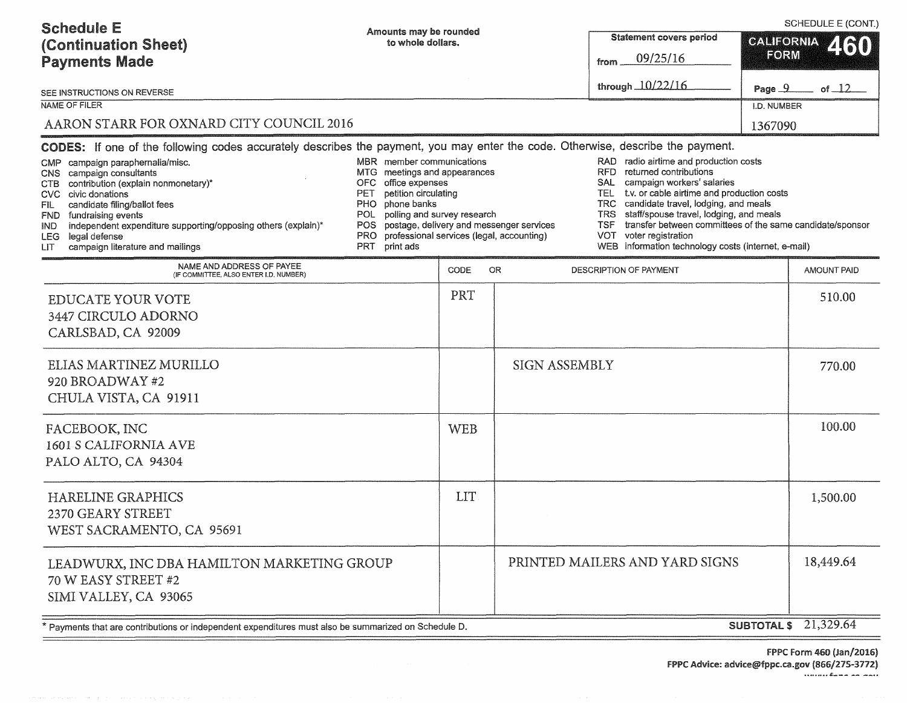| <b>Schedule E</b><br>(Continuation Sheet)<br><b>Payments Made</b><br>SEE INSTRUCTIONS ON REVERSE<br><b>NAME OF FILER</b><br>AARON STARR FOR OXNARD CITY COUNCIL 2016                                                                                                                                                                                                                                                                                                                       | Amounts may be rounded<br>to whole dollars.                                                                                                                                                                                                                                                          |            |                      | <b>Statement covers period</b><br>09/25/16<br>from<br>through 10/22/16                                                                                                                                                                                                                                                                                                                                                                      | SCHEDULE E (CONT.)<br>CALIFORNIA 460<br>FORM<br>Page 9<br>of $\Box$ 2<br>I.D. NUMBER<br>1367090 |  |
|--------------------------------------------------------------------------------------------------------------------------------------------------------------------------------------------------------------------------------------------------------------------------------------------------------------------------------------------------------------------------------------------------------------------------------------------------------------------------------------------|------------------------------------------------------------------------------------------------------------------------------------------------------------------------------------------------------------------------------------------------------------------------------------------------------|------------|----------------------|---------------------------------------------------------------------------------------------------------------------------------------------------------------------------------------------------------------------------------------------------------------------------------------------------------------------------------------------------------------------------------------------------------------------------------------------|-------------------------------------------------------------------------------------------------|--|
| CODES: If one of the following codes accurately describes the payment, you may enter the code. Otherwise, describe the payment.<br>CMP campaign paraphernalia/misc.<br>campaign consultants<br>CNS.<br>contribution (explain nonmonetary)*<br>CTB<br>civic donations<br>CVC<br>candidate filing/ballot fees<br>FIL.<br>FND fundraising events<br>independent expenditure supporting/opposing others (explain)*<br>IND.<br>legal defense<br>LEG.<br>campaign literature and mailings<br>LIT | MBR member communications<br>MTG meetings and appearances<br>OFC office expenses<br>petition circulating<br>PET<br>phone banks<br>PHO<br>polling and survey research<br>POL<br>POS postage, delivery and messenger services<br>professional services (legal, accounting)<br>PRO.<br>PRT<br>print ads |            |                      | RAD radio airtime and production costs<br>returned contributions<br>RFD.<br>campaign workers' salaries<br>SAL<br>t.v. or cable airtime and production costs<br>TEL.<br>candidate travel, lodging, and meals<br>TRC.<br>staff/spouse travel, lodging, and meals<br>TRS<br>transfer between committees of the same candidate/sponsor<br><b>TSF</b><br>voter registration<br><b>VOT</b><br>WEB information technology costs (internet, e-mail) |                                                                                                 |  |
| NAME AND ADDRESS OF PAYEE<br>(IF COMMITTEE, ALSO ENTER I.D. NUMBER)                                                                                                                                                                                                                                                                                                                                                                                                                        |                                                                                                                                                                                                                                                                                                      | CODE       | OR.                  | DESCRIPTION OF PAYMENT                                                                                                                                                                                                                                                                                                                                                                                                                      | <b>AMOUNT PAID</b>                                                                              |  |
| <b>EDUCATE YOUR VOTE</b><br>3447 CIRCULO ADORNO<br>CARLSBAD, CA 92009                                                                                                                                                                                                                                                                                                                                                                                                                      |                                                                                                                                                                                                                                                                                                      | PRT        |                      |                                                                                                                                                                                                                                                                                                                                                                                                                                             | 510.00                                                                                          |  |
| ELIAS MARTINEZ MURILLO<br>920 BROADWAY #2<br>CHULA VISTA, CA 91911                                                                                                                                                                                                                                                                                                                                                                                                                         |                                                                                                                                                                                                                                                                                                      |            | <b>SIGN ASSEMBLY</b> |                                                                                                                                                                                                                                                                                                                                                                                                                                             | 770.00                                                                                          |  |
| FACEBOOK, INC<br>1601 S CALIFORNIA AVE<br>PALO ALTO, CA 94304                                                                                                                                                                                                                                                                                                                                                                                                                              |                                                                                                                                                                                                                                                                                                      | <b>WEB</b> |                      |                                                                                                                                                                                                                                                                                                                                                                                                                                             | 100.00                                                                                          |  |
| <b>HARELINE GRAPHICS</b><br>2370 GEARY STREET<br>WEST SACRAMENTO, CA 95691                                                                                                                                                                                                                                                                                                                                                                                                                 |                                                                                                                                                                                                                                                                                                      | LIT        |                      |                                                                                                                                                                                                                                                                                                                                                                                                                                             | 1,500.00                                                                                        |  |
| LEADWURX, INC DBA HAMILTON MARKETING GROUP<br>70 W EASY STREET #2<br>SIMI VALLEY, CA 93065                                                                                                                                                                                                                                                                                                                                                                                                 |                                                                                                                                                                                                                                                                                                      |            |                      | PRINTED MAILERS AND YARD SIGNS                                                                                                                                                                                                                                                                                                                                                                                                              | 18,449.64                                                                                       |  |
| * Payments that are contributions or independent expenditures must also be summarized on Schedule D.                                                                                                                                                                                                                                                                                                                                                                                       |                                                                                                                                                                                                                                                                                                      |            |                      |                                                                                                                                                                                                                                                                                                                                                                                                                                             | <b>SUBTOTAL \$</b> 21,329.64                                                                    |  |

FPPC form 460 (Jan/2016) fPPC Advice: advic:e@fppc.ca.gov (866/275-3772) .......... *.s:: \_\_\_* -- --··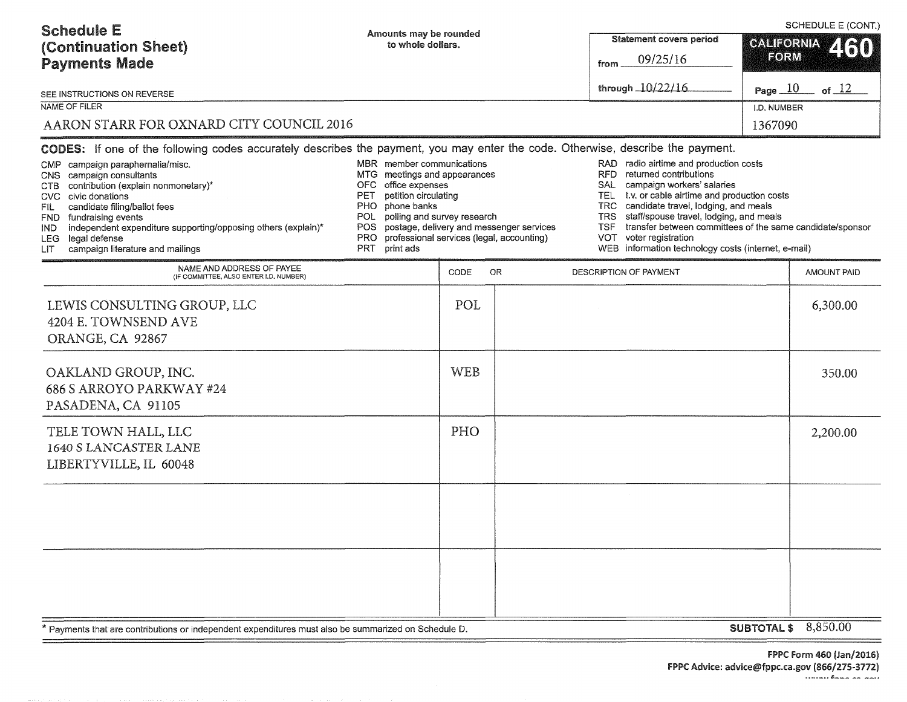| <b>Schedule E</b><br>(Continuation Sheet)<br><b>Payments Made</b><br>SEE INSTRUCTIONS ON REVERSE<br><b>NAME OF FILER</b><br>AARON STARR FOR OXNARD CITY COUNCIL 2016                                                                                                                                                                                                                                                                                                                                                                                                                                                                                                        | Amounts may be rounded<br>to whole dollars. |                                                                                                                          |     | <b>Statement covers period</b><br>09/25/16<br>from<br>through 10/22/16                                                                                                                                                                                                                                                                                                                                                             |  | SCHEDULE E (CONT.)<br><b>GALIFORNIA</b><br>Z (30)<br>FORM<br>Page $10$ of $12$<br>I.D. NUMBER<br>1367090 |
|-----------------------------------------------------------------------------------------------------------------------------------------------------------------------------------------------------------------------------------------------------------------------------------------------------------------------------------------------------------------------------------------------------------------------------------------------------------------------------------------------------------------------------------------------------------------------------------------------------------------------------------------------------------------------------|---------------------------------------------|--------------------------------------------------------------------------------------------------------------------------|-----|------------------------------------------------------------------------------------------------------------------------------------------------------------------------------------------------------------------------------------------------------------------------------------------------------------------------------------------------------------------------------------------------------------------------------------|--|----------------------------------------------------------------------------------------------------------|
| CODES: If one of the following codes accurately describes the payment, you may enter the code. Otherwise, describe the payment.<br>MBR member communications<br>campaign paraphernalia/misc.<br>CMP.<br>MTG meetings and appearances<br>campaign consultants<br>CNS<br>office expenses<br>contribution (explain nonmonetary)*<br>OFC<br>CTB<br>petition circulating<br>PET<br>CVC civic donations<br>phone banks<br>PHO.<br>candidate filing/ballot fees<br>FIL.<br>POL<br>fundraising events<br>FND.<br>independent expenditure supporting/opposing others (explain)*<br>IND.<br>legal defense<br>PRO.<br>LEG.<br>campaign literature and mailings<br>PRT print ads<br>LIT |                                             | polling and survey research<br>POS postage, delivery and messenger services<br>professional services (legal, accounting) |     | RAD radio airtime and production costs<br>returned contributions<br>RFD.<br>campaign workers' salaries<br>SAL<br>t.v. or cable airtime and production costs<br>TEL 1<br>candidate travel, lodging, and meals<br>TRC.<br>staff/spouse travel, lodging, and meals<br>TRS<br>transfer between committees of the same candidate/sponsor<br><b>TSF</b><br>VOT voter registration<br>WEB information technology costs (internet, e-mail) |  |                                                                                                          |
| NAME AND ADDRESS OF PAYEE<br>(IF COMMITTEE, ALSO ENTER I.D. NUMBER)                                                                                                                                                                                                                                                                                                                                                                                                                                                                                                                                                                                                         |                                             | CODE                                                                                                                     | OR. | DESCRIPTION OF PAYMENT                                                                                                                                                                                                                                                                                                                                                                                                             |  | <b>AMOUNT PAID</b>                                                                                       |
| LEWIS CONSULTING GROUP, LLC<br>4204 E. TOWNSEND AVE<br>ORANGE, CA 92867                                                                                                                                                                                                                                                                                                                                                                                                                                                                                                                                                                                                     |                                             | POL                                                                                                                      |     |                                                                                                                                                                                                                                                                                                                                                                                                                                    |  | 6,300.00                                                                                                 |
| OAKLAND GROUP, INC.<br>686 S ARROYO PARKWAY #24<br>PASADENA, CA 91105                                                                                                                                                                                                                                                                                                                                                                                                                                                                                                                                                                                                       |                                             | <b>WEB</b>                                                                                                               |     |                                                                                                                                                                                                                                                                                                                                                                                                                                    |  | 350.00                                                                                                   |
| TELE TOWN HALL, LLC<br>1640 S LANCASTER LANE<br>LIBERTYVILLE, IL 60048                                                                                                                                                                                                                                                                                                                                                                                                                                                                                                                                                                                                      |                                             | PHO                                                                                                                      |     |                                                                                                                                                                                                                                                                                                                                                                                                                                    |  | 2,200.00                                                                                                 |
|                                                                                                                                                                                                                                                                                                                                                                                                                                                                                                                                                                                                                                                                             |                                             |                                                                                                                          |     |                                                                                                                                                                                                                                                                                                                                                                                                                                    |  |                                                                                                          |
|                                                                                                                                                                                                                                                                                                                                                                                                                                                                                                                                                                                                                                                                             |                                             |                                                                                                                          |     |                                                                                                                                                                                                                                                                                                                                                                                                                                    |  |                                                                                                          |
|                                                                                                                                                                                                                                                                                                                                                                                                                                                                                                                                                                                                                                                                             |                                             |                                                                                                                          |     |                                                                                                                                                                                                                                                                                                                                                                                                                                    |  |                                                                                                          |

\* Payments that are contributions or independent expenditures must also be summarized on Schedule D.

SUBTOTAL \$ 8,850.00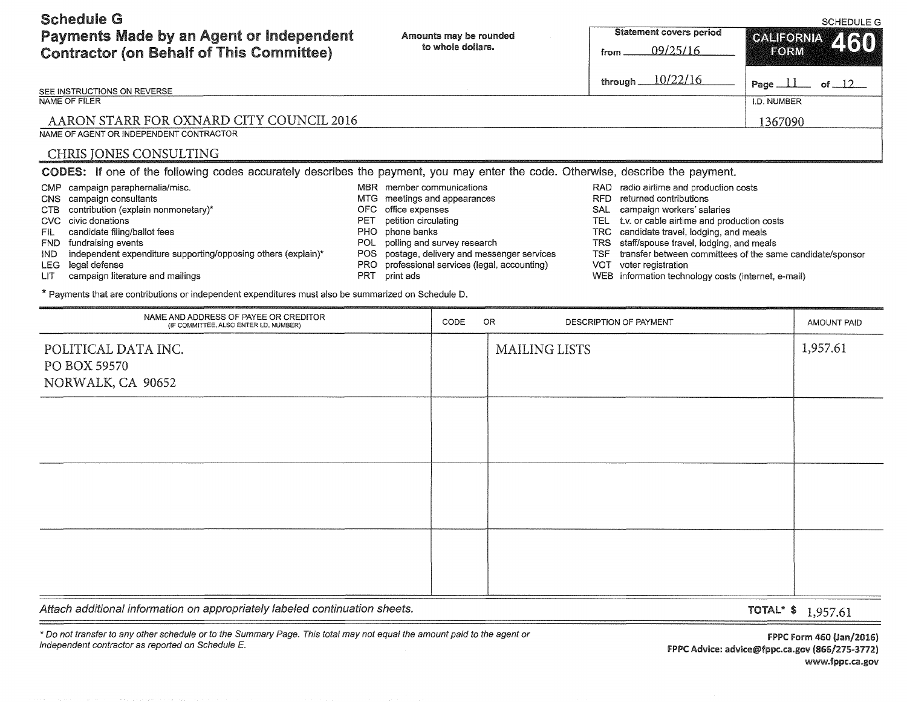Schedule G Payments Made by an Agent or Independent

SCHEDULE G

| <b>Payments Made by an Agent or Independent</b><br><b>Contractor (on Behalf of This Committee)</b>                                                                                                                                                                                                                                                                                                                                                                                             | Amounts may be rounded<br>to whole dollars.                                                                                                                             |                                                                                                                                                  |                                                                    | <b>Statement covers period</b><br>09/25/16<br>from                                                                                                                                                                                                                                                                   | <b>GALIFORNIA</b><br>2160<br><b>EORM</b>                  |  |
|------------------------------------------------------------------------------------------------------------------------------------------------------------------------------------------------------------------------------------------------------------------------------------------------------------------------------------------------------------------------------------------------------------------------------------------------------------------------------------------------|-------------------------------------------------------------------------------------------------------------------------------------------------------------------------|--------------------------------------------------------------------------------------------------------------------------------------------------|--------------------------------------------------------------------|----------------------------------------------------------------------------------------------------------------------------------------------------------------------------------------------------------------------------------------------------------------------------------------------------------------------|-----------------------------------------------------------|--|
| SEE INSTRUCTIONS ON REVERSE                                                                                                                                                                                                                                                                                                                                                                                                                                                                    |                                                                                                                                                                         |                                                                                                                                                  |                                                                    | 10/22/16<br>through                                                                                                                                                                                                                                                                                                  | Page $\perp \perp$<br>of $12$                             |  |
| <b>NAME OF FILER</b><br>AARON STARR FOR OXNARD CITY COUNCIL 2016<br>NAME OF AGENT OR INDEPENDENT CONTRACTOR                                                                                                                                                                                                                                                                                                                                                                                    |                                                                                                                                                                         |                                                                                                                                                  |                                                                    |                                                                                                                                                                                                                                                                                                                      | <b>I.D. NUMBER</b><br>1367090                             |  |
| CHRIS JONES CONSULTING<br><b>CODES:</b> If one of the following codes accurately describes the payment, you may enter the code. Otherwise, describe the payment.                                                                                                                                                                                                                                                                                                                               |                                                                                                                                                                         |                                                                                                                                                  |                                                                    |                                                                                                                                                                                                                                                                                                                      |                                                           |  |
| campaign paraphernalia/misc.<br><b>CMP</b><br>campaign consultants<br><b>CNS</b><br>contribution (explain nonmonetary)*<br>CTB<br>civic donations<br><b>CVC</b><br>candidate filing/ballot fees<br>FIL.<br>fundraising events<br><b>FND</b><br>independent expenditure supporting/opposing others (explain)*<br>IND<br>legal defense<br>LEG<br>campaign literature and mailings<br>LIТ<br>* Payments that are contributions or independent expenditures must also be summarized on Schedule D. | MBR member communications<br><b>MTG</b><br>office expenses<br>OFC<br>petition circulating<br>PET<br>phone banks<br>PHO<br>POL<br>POS.<br>PRO<br><b>PRT</b><br>print ads | meetings and appearances<br>polling and survey research<br>postage, delivery and messenger services<br>professional services (legal, accounting) | RFD<br><b>SAL</b><br><b>TEL</b><br>TRS<br><b>TSF</b><br><b>VOT</b> | RAD radio airtime and production costs<br>returned contributions<br>campaign workers' salaries<br>t.v. or cable airtime and production costs<br>candidate travel, lodging, and meals<br>TRC.<br>staff/spouse travel, lodging, and meals<br>voter registration<br>WEB information technology costs (internet, e-mail) | transfer between committees of the same candidate/sponsor |  |
| NAME AND ADDRESS OF PAYEE OR CREDITOR<br>(IF COMMITTEE, ALSO ENTER I.D. NUMBER)                                                                                                                                                                                                                                                                                                                                                                                                                |                                                                                                                                                                         | CODE<br>OR                                                                                                                                       |                                                                    | <b>DESCRIPTION OF PAYMENT</b>                                                                                                                                                                                                                                                                                        | AMOUNT PAID                                               |  |
|                                                                                                                                                                                                                                                                                                                                                                                                                                                                                                |                                                                                                                                                                         |                                                                                                                                                  |                                                                    |                                                                                                                                                                                                                                                                                                                      |                                                           |  |

| POLITICAL DATA INC.<br>PO BOX 59570<br>NORWALK, CA 90652 | MAILING LISTS | 1,957.61 |
|----------------------------------------------------------|---------------|----------|
|                                                          |               |          |
|                                                          |               |          |
|                                                          |               |          |

Attach additional information on appropriately labeled continuation sheets.

TOTAL\* \$ 1,957.61

\*Do not transfer to any other schedule or to the Summary Page. This total may not equal the amount paid to the agent or independent contractor as reported on Schedule E

FPPC form 460 (Jan/2016) FPPC Advice: advice@fppc.ca.gov (866/275-3772) www.fppc.ca.gov